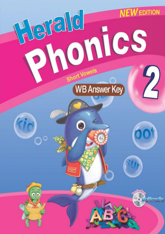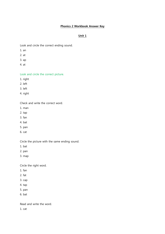# Phonics 2 Workbook Answer Key

# Unit 1

Look and circle the correct ending sound.

- 1. an
- 2. at
- 3. ap
- 4. at

Look and circle the correct picture.

- 1. right
- 2. left
- 3. left
- 4. right

Check and write the correct word.

- 1. man
- 2. tap
- 3. fan
- 4. bat
- 5. pan
- 6. cat

Circle the picture with the same ending sound.

- 1. bat
- 2. pan
- 3. map

Circle the right word.

- 1. fan
- 2. fat
- 3. cap
- 4. tap
- 5. pan
- 6. bat

Read and write the word.

1. cat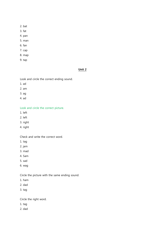- 2. bat
- 3. fat
- 4. pan
- 5. man
- 6. fan
- 7. cap
- 8. map
- 9. tap

### Unit 2

Look and circle the correct ending sound.

- 1. ad
- 2. am
- 3. ag
- 4. ad

Look and circle the correct picture.

- 1. left
- 2. left
- 3. right
- 4. right

Check and write the correct word.

- 1. tag
- 2. jam
- 3. mad
- 4. Sam
- 5. sad
- 6. wag

Circle the picture with the same ending sound.

- 1. ham
- 2. dad
- 3. tag

Circle the right word.

- 1. tag
- 2. dad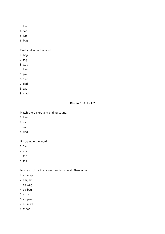- 3. ham
- 4. sad
- 5. jam
- 6. bag

Read and write the word.

- 1. bag
- 2. tag
- 3. wag
- 4. ham
- 5. jam
- 6. Sam
- 7. dad
- 8. sad
- 9. mad

## Review 1 Units 1-2

Match the picture and ending sound.

- 1. ham
- 2. cap
- 3. cat
- 4. dad

Unscramble the word.

- 1. Sam
- 2. man
- 3. tap
- 4. tag

Look and circle the correct ending sound. Then write.

- 1. ap map
- 2. am jam
- 3. ag wag
- 4. ag bag
- 5. at bat
- 6. an pan
- 7. ad mad
- 8. at fat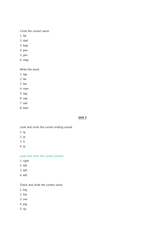Circle the correct word.

- 1. fat
- 2. dad
- 3. bag
- 4. pan
- 5. jam
- 6. map

Write the word.

- 1. tap
- 2. fat
- 3. fan
- 4. man
- 5. tag
- 6. cap
- 7. sad
- 8. ham

### Unit 3

Look and circle the correct ending sound.

- 1. ig
- 2. ip
- 3. ix
- 4. ip

Look and circle the correct picture.

- 1. right
- 2. left
- 3. left
- 4. left

Check and write the correct word.

- 1. big
- 2. hip
- 3. mix
- 4. pig
- 5. rip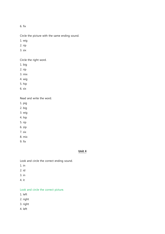6. fix

Circle the picture with the same ending sound.

1. wig

2. rip

3. six

Circle the right word.

- 1. big
- 2. rip
- 3. mix

4. wig

5. hip

6. six

Read and write the word.

1. pig

2. big

3. wig

- 4. hip
- 5. rip
- 6. zip
- 7. six
- 8. mix
- 9. fix

### Unit 4

Look and circle the correct ending sound.

- 1. in
- 2. id
- 3. in
- 4. it

# Look and circle the correct picture.

- 1. left
- 2. right
- 3. right
- 4. left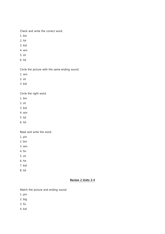Check and write the correct word.

- 1. bin
- 2. hit
- 3. kid
- 4. win
- 5. sit
- 6. lid

Circle the picture with the same ending sound.

- 1. win
- 2. sit
- 3. kid

Circle the right word.

- 1. bin
- 2. sit
- 3. kid
- 4. win
- 5. lid
- 6. hit

Read and write the word.

- 1. pin
- 2. bin
- 3. win
- 4. fin
- 5. sit
- 6. hit
- 7. kid
- 8. lid

## Review 2 Units 3-4

Match the picture and ending sound.

- 1. pin
- 2. big
- 3. fix
- 4. kid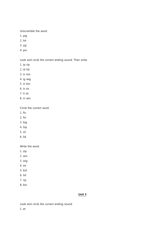Unscramble the word.

- 1. pig
- 2. hit
- 3. zip
- 4. pin

Look and circle the correct ending sound. Then write.

- 1. ip rip
- 2. id lid
- 3. ix mix
- 4. ig wig
- 5. in bin
- 6. ix six
- 7. it sit
- 8. in win

Circle the correct word.

- 1. fix
- 2. fin
- 3. big
- 4. hip
- 5. sit
- 6. lid

Write the word.

- 1. zip
- 2. win
- 3. wig
- 4. six
- 5. kid
- 6. hit
- 7. rip
- 8. bin

# Unit 5

Look and circle the correct ending sound.

1. et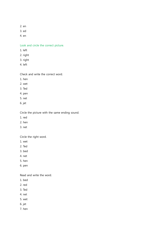- 2. en
- 3. ed
- 4. en

Look and circle the correct picture.

- 1. left
- 2. right
- 3. right
- 4. left

Check and write the correct word.

- 1. hen
- 2. wet
- 3. Ted
- 4. pen
- 5. net
- 6. jet

Circle the picture with the same ending sound.

- 1. red
- 2. hen
- 3. net

Circle the right word.

- 1. wet
- 2. Ted
- 3. bed
- 4. net
- 5. hen
- 6. pen

Read and write the word.

- 1. bed
- 2. red
- 3. Ted
- 4. net
- 5. wet
- 6. jet
- 7. hen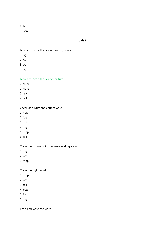8. ten

9. pen

### Unit 6

Look and circle the correct ending sound.

- 1. og
- 2. ox
- 3. op
- 4. ot

Look and circle the correct picture.

- 1. right
- 2. right
- 3. left
- 4. left

Check and write the correct word.

- 1. hop
- 2. jog
- 3. hot
- 4. log
- 5. mop
- 6. fox

Circle the picture with the same ending sound.

- 1. log
- 2. pot
- 3. mop

Circle the right word.

- 1. mop
- 2. pot
- 3. fox
- 4. box
- 5. fog
- 6. log

Read and write the word.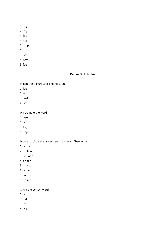- 1. log
- 2. jog
- 3. fog
- 4. hop
- 5. mop
- 6. hot
- 7. pot
- 8. box
- 9. fox

#### Review 3 Units 5-6

Match the picture and ending sound.

- 1. fox
- 2. ten
- 3. bed
- 4. pot

Unscramble the word.

- 1. pen
- 2. jet
- 3. fog
- 4. hop

Look and circle the correct ending sound. Then write.

- 1. og log
- 2. en hen
- 3. op mop
- 4. en ten
- 5. et wet
- 6. ot hot
- 7. ox box
- 8. ed red

Circle the correct word.

- 1. pot
- 2. net
- 3. jet
- 4. jog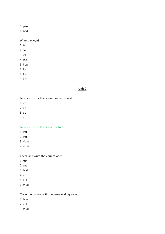5. pen

6. bed

Write the word.

- 1. ten
- 2. Ted
- 3. jet
- 4. red
- 5. hop
- 6. fog
- 7. fox
- 8. hot

### Unit 7

Look and circle the correct ending sound.

- 1. un
- 2. ut
- 3. ud
- 4. un

Look and circle the correct picture.

- 1. left
- 2. left
- 3. right
- 4. right

Check and write the correct word.

- 1. sun
- 2. cut
- 3. bud
- 4. run
- 5. hut
- 6. mud

Circle the picture with the same ending sound.

- 1. bun
- 2. nut
- 3. mud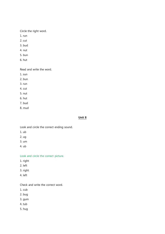Circle the right word.

- 1. run
- 2. cut
- 3. bud
- 4. nut
- 5. bun
- 6. hut

Read and write the word.

- 1. sun
- 2. bun
- 3. run
- 4. cut
- 5. nut
- 6. hut
- 7. bud
- 8. mud

## Unit 8

Look and circle the correct ending sound.

- 1. ub
- 2. ug
- 3. um
- 4. ub

Look and circle the correct picture.

- 1. right
- 2. left
- 3. right
- 4. left

Check and write the correct word.

- 1. cub
- 2. bug
- 3. gum
- 4. tub
- 5. hug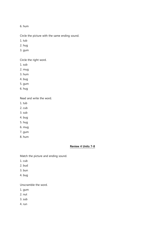6. hum

Circle the picture with the same ending sound.

- 1. tub
- 2. hug
- 3. gum

Circle the right word.

- 1. sub
- 2. mug
- 3. hum
- 4. bug
- 5. gum
- 6. hug

Read and write the word.

- 1. tub
- 2. cub
- 3. sub
- 4. bug
- 5. hug
- 6. mug
- 7. gum
- 8. hum

## Review 4 Units 7-8

Match the picture and ending sound.

- 1. cub
- 2. bud
- 3. bun
- 4. bug

Unscramble the word.

- 1. gum
- 2. nut
- 3. sub
- 4. run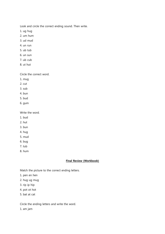Look and circle the correct ending sound. Then write.

- 1. ug hug
- 2. um hum
- 3. ud mud
- 4. un run
- 5. ub tub
- 6. un sun
- 7. ub cub
- 8. ut hut

Circle the correct word.

- 1. mug
- 2. cut
- 3. sub
- 4. bun
- 5. bud
- 6. gum

Write the word.

- 1. bud
- 2. hut
- 3. bun
- 4. hug
- 5. mud
- 6. bug
- 7. tub
- 8. hum

### Final Review (Workbook)

Match the picture to the correct ending letters.

- 1. pen en hen
- 2. hug ug mug
- 3. rip ip hip
- 4. pot ot hot
- 5. bat at cat

Circle the ending letters and write the word.

1. am jam